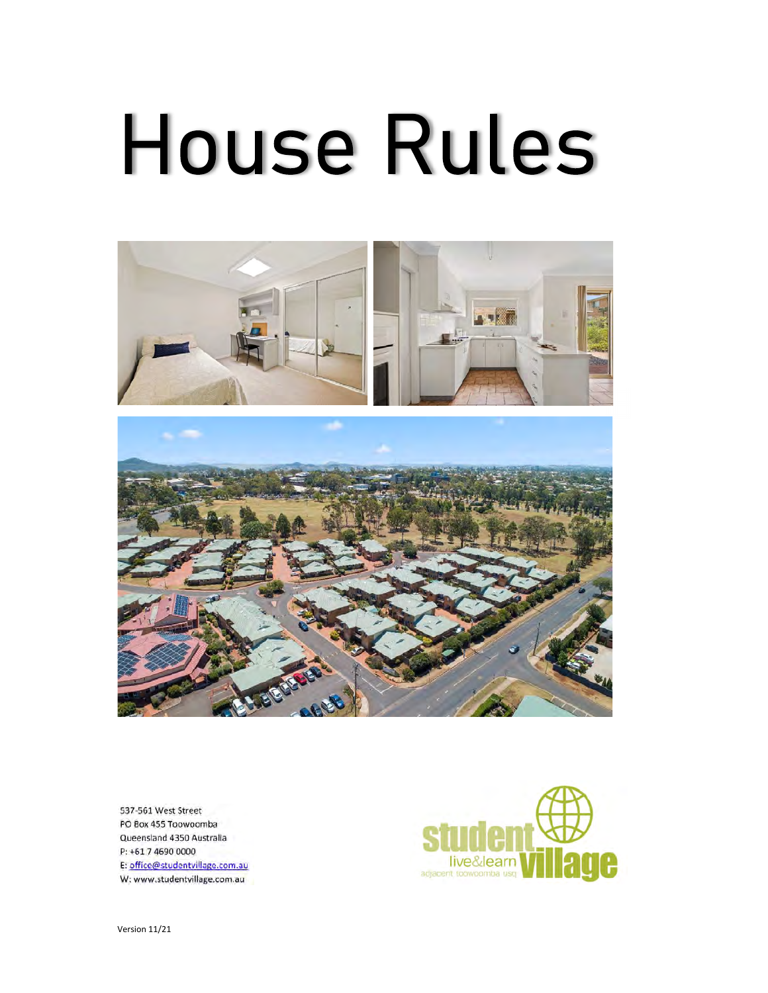# **House Rules**





537-561 West Street PO Box 455 Toowoomba Queensland 4350 Australia P: +61 7 4690 0000 E: office@studentvillage.com.au W: www.studentvillage.com.au



Version 11/21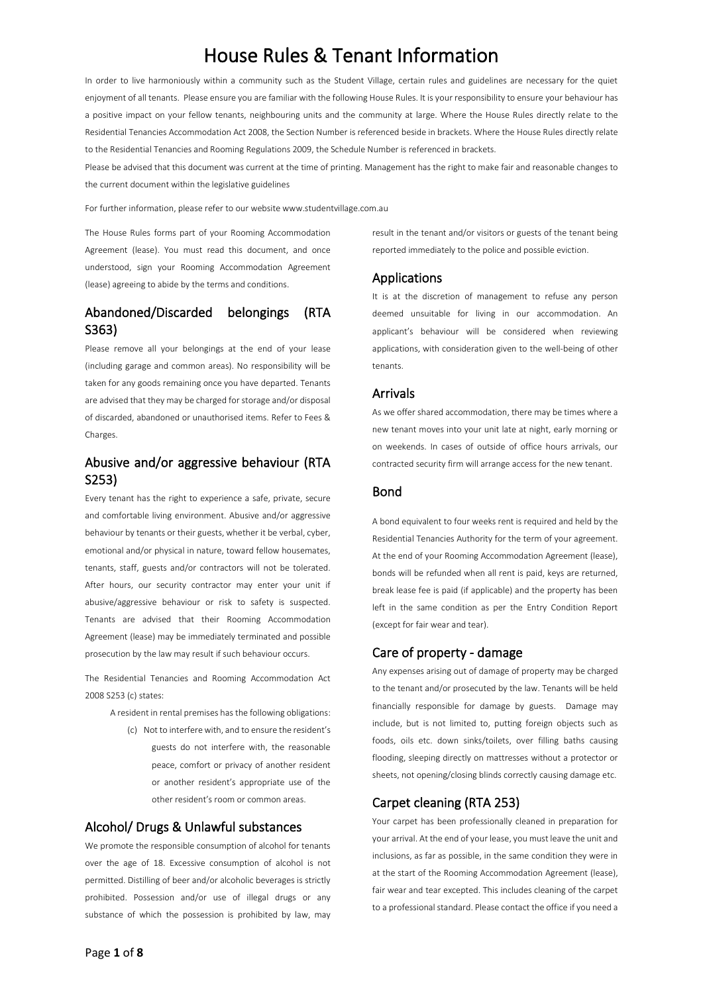# House Rules & Tenant Information

In order to live harmoniously within a community such as the Student Village, certain rules and guidelines are necessary for the quiet enjoyment of all tenants. Please ensure you are familiar with the following House Rules. It is your responsibility to ensure your behaviour has a positive impact on your fellow tenants, neighbouring units and the community at large. Where the House Rules directly relate to the Residential Tenancies Accommodation Act 2008, the Section Number is referenced beside in brackets. Where the House Rules directly relate to the Residential Tenancies and Rooming Regulations 2009, the Schedule Number is referenced in brackets.

Please be advised that this document was current at the time of printing. Management has the right to make fair and reasonable changes to the current document within the legislative guidelines

For further information, please refer to our website www.studentvillage.com.au

The House Rules forms part of your Rooming Accommodation Agreement (lease). You must read this document, and once understood, sign your Rooming Accommodation Agreement (lease) agreeing to abide by the terms and conditions.

# Abandoned/Discarded belongings (RTA S363)

Please remove all your belongings at the end of your lease (including garage and common areas). No responsibility will be taken for any goods remaining once you have departed. Tenants are advised that they may be charged for storage and/or disposal of discarded, abandoned or unauthorised items. Refer to Fees & Charges.

# Abusive and/or aggressive behaviour (RTA S253)

Every tenant has the right to experience a safe, private, secure and comfortable living environment. Abusive and/or aggressive behaviour by tenants or their guests, whether it be verbal, cyber, emotional and/or physical in nature, toward fellow housemates, tenants, staff, guests and/or contractors will not be tolerated. After hours, our security contractor may enter your unit if abusive/aggressive behaviour or risk to safety is suspected. Tenants are advised that their Rooming Accommodation Agreement (lease) may be immediately terminated and possible prosecution by the law may result if such behaviour occurs.

The Residential Tenancies and Rooming Accommodation Act 2008 S253 (c) states:

A resident in rental premises has the following obligations:

(c) Not to interfere with, and to ensure the resident's guests do not interfere with, the reasonable peace, comfort or privacy of another resident or another resident's appropriate use of the other resident's room or common areas.

# Alcohol/ Drugs & Unlawful substances

We promote the responsible consumption of alcohol for tenants over the age of 18. Excessive consumption of alcohol is not permitted. Distilling of beer and/or alcoholic beverages is strictly prohibited. Possession and/or use of illegal drugs or any substance of which the possession is prohibited by law, may result in the tenant and/or visitors or guests of the tenant being reported immediately to the police and possible eviction.

# Applications

It is at the discretion of management to refuse any person deemed unsuitable for living in our accommodation. An applicant's behaviour will be considered when reviewing applications, with consideration given to the well-being of other tenants.

### Arrivals

As we offer shared accommodation, there may be times where a new tenant moves into your unit late at night, early morning or on weekends. In cases of outside of office hours arrivals, our contracted security firm will arrange access for the new tenant.

### Bond

A bond equivalent to four weeks rent is required and held by the Residential Tenancies Authority for the term of your agreement. At the end of your Rooming Accommodation Agreement (lease), bonds will be refunded when all rent is paid, keys are returned, break lease fee is paid (if applicable) and the property has been left in the same condition as per the Entry Condition Report (except for fair wear and tear).

### Care of property - damage

Any expenses arising out of damage of property may be charged to the tenant and/or prosecuted by the law. Tenants will be held financially responsible for damage by guests. Damage may include, but is not limited to, putting foreign objects such as foods, oils etc. down sinks/toilets, over filling baths causing flooding, sleeping directly on mattresses without a protector or sheets, not opening/closing blinds correctly causing damage etc.

# Carpet cleaning (RTA 253)

Your carpet has been professionally cleaned in preparation for your arrival. At the end of your lease, you must leave the unit and inclusions, as far as possible, in the same condition they were in at the start of the Rooming Accommodation Agreement (lease), fair wear and tear excepted. This includes cleaning of the carpet to a professional standard. Please contact the office if you need a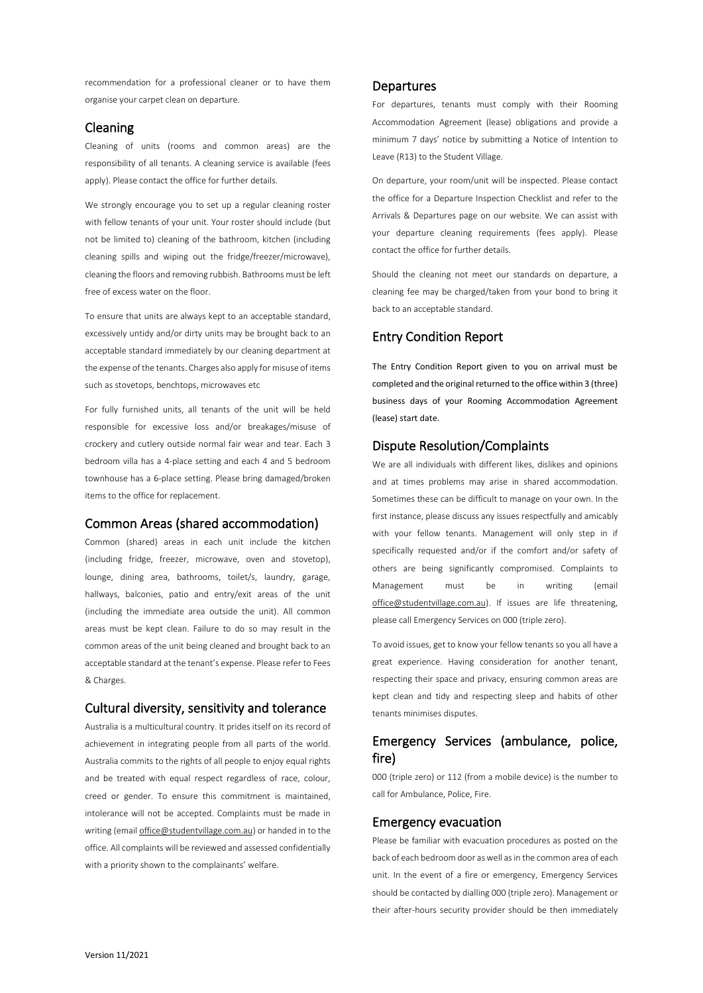recommendation for a professional cleaner or to have them organise your carpet clean on departure.

### Cleaning

Cleaning of units (rooms and common areas) are the responsibility of all tenants. A cleaning service is available (fees apply). Please contact the office for further details.

We strongly encourage you to set up a regular cleaning roster with fellow tenants of your unit. Your roster should include (but not be limited to) cleaning of the bathroom, kitchen (including cleaning spills and wiping out the fridge/freezer/microwave), cleaning the floors and removing rubbish. Bathrooms must be left free of excess water on the floor.

To ensure that units are always kept to an acceptable standard, excessively untidy and/or dirty units may be brought back to an acceptable standard immediately by our cleaning department at the expense of the tenants. Charges also apply for misuse of items such as stovetops, benchtops, microwaves etc

For fully furnished units, all tenants of the unit will be held responsible for excessive loss and/or breakages/misuse of crockery and cutlery outside normal fair wear and tear. Each 3 bedroom villa has a 4-place setting and each 4 and 5 bedroom townhouse has a 6-place setting. Please bring damaged/broken items to the office for replacement.

# Common Areas (shared accommodation)

Common (shared) areas in each unit include the kitchen (including fridge, freezer, microwave, oven and stovetop), lounge, dining area, bathrooms, toilet/s, laundry, garage, hallways, balconies, patio and entry/exit areas of the unit (including the immediate area outside the unit). All common areas must be kept clean. Failure to do so may result in the common areas of the unit being cleaned and brought back to an acceptable standard at the tenant's expense. Please refer to Fees & Charges.

### Cultural diversity, sensitivity and tolerance

Australia is a multicultural country. It prides itself on its record of achievement in integrating people from all parts of the world. Australia commits to the rights of all people to enjoy equal rights and be treated with equal respect regardless of race, colour, creed or gender. To ensure this commitment is maintained, intolerance will not be accepted. Complaints must be made in writing (email office@studentvillage.com.au) or handed in to the office. All complaints will be reviewed and assessed confidentially with a priority shown to the complainants' welfare.

### **Departures**

For departures, tenants must comply with their Rooming Accommodation Agreement (lease) obligations and provide a minimum 7 days' notice by submitting a Notice of Intention to Leave (R13) to the Student Village.

On departure, your room/unit will be inspected. Please contact the office for a Departure Inspection Checklist and refer to the Arrivals & Departures page on our website. We can assist with your departure cleaning requirements (fees apply). Please contact the office for further details.

Should the cleaning not meet our standards on departure, a cleaning fee may be charged/taken from your bond to bring it back to an acceptable standard.

### Entry Condition Report

The Entry Condition Report given to you on arrival must be completed and the original returned to the office within 3 (three) business days of your Rooming Accommodation Agreement (lease) start date.

# Dispute Resolution/Complaints

We are all individuals with different likes, dislikes and opinions and at times problems may arise in shared accommodation. Sometimes these can be difficult to manage on your own. In the first instance, please discuss any issues respectfully and amicably with your fellow tenants. Management will only step in if specifically requested and/or if the comfort and/or safety of others are being significantly compromised. Complaints to Management must be in writing (email office@studentvillage.com.au). If issues are life threatening, please call Emergency Services on 000 (triple zero).

To avoid issues, get to know your fellow tenants so you all have a great experience. Having consideration for another tenant, respecting their space and privacy, ensuring common areas are kept clean and tidy and respecting sleep and habits of other tenants minimises disputes.

# Emergency Services (ambulance, police, fire)

000 (triple zero) or 112 (from a mobile device) is the number to call for Ambulance, Police, Fire.

### Emergency evacuation

Please be familiar with evacuation procedures as posted on the back of each bedroom door as well as in the common area of each unit. In the event of a fire or emergency, Emergency Services should be contacted by dialling 000 (triple zero). Management or their after-hours security provider should be then immediately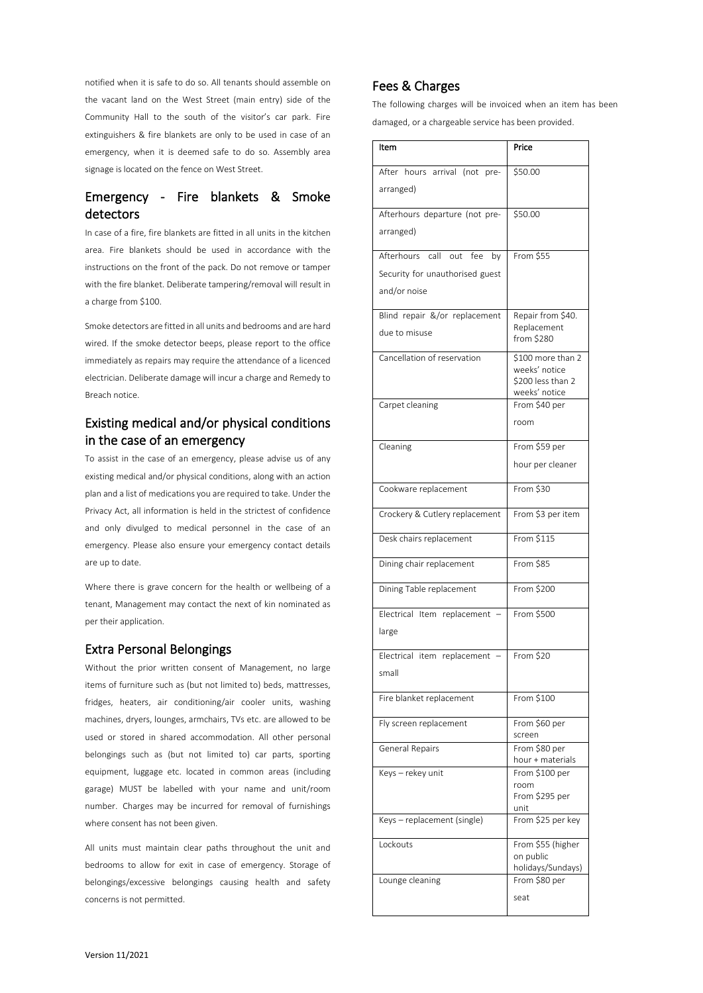notified when it is safe to do so. All tenants should assemble on the vacant land on the West Street (main entry) side of the Community Hall to the south of the visitor's car park. Fire extinguishers & fire blankets are only to be used in case of an emergency, when it is deemed safe to do so. Assembly area signage is located on the fence on West Street.

# Emergency - Fire blankets & Smoke detectors

In case of a fire, fire blankets are fitted in all units in the kitchen area. Fire blankets should be used in accordance with the instructions on the front of the pack. Do not remove or tamper with the fire blanket. Deliberate tampering/removal will result in a charge from \$100.

Smoke detectors are fitted in all units and bedrooms and are hard wired. If the smoke detector beeps, please report to the office immediately as repairs may require the attendance of a licenced electrician. Deliberate damage will incur a charge and Remedy to Breach notice.

# Existing medical and/or physical conditions in the case of an emergency

To assist in the case of an emergency, please advise us of any existing medical and/or physical conditions, along with an action plan and a list of medications you are required to take. Under the Privacy Act, all information is held in the strictest of confidence and only divulged to medical personnel in the case of an emergency. Please also ensure your emergency contact details are up to date.

Where there is grave concern for the health or wellbeing of a tenant, Management may contact the next of kin nominated as per their application.

# Extra Personal Belongings

Without the prior written consent of Management, no large items of furniture such as (but not limited to) beds, mattresses, fridges, heaters, air conditioning/air cooler units, washing machines, dryers, lounges, armchairs, TVs etc. are allowed to be used or stored in shared accommodation. All other personal belongings such as (but not limited to) car parts, sporting equipment, luggage etc. located in common areas (including garage) MUST be labelled with your name and unit/room number. Charges may be incurred for removal of furnishings where consent has not been given.

All units must maintain clear paths throughout the unit and bedrooms to allow for exit in case of emergency. Storage of belongings/excessive belongings causing health and safety concerns is not permitted.

# Fees & Charges

The following charges will be invoiced when an item has been damaged, or a chargeable service has been provided.

| Item                                | Price                              |
|-------------------------------------|------------------------------------|
| After hours arrival (not<br>pre-    | \$50.00                            |
| arranged)                           |                                    |
|                                     |                                    |
| Afterhours departure (not pre-      | \$50.00                            |
| arranged)                           |                                    |
| Afterhours<br>call out<br>fee<br>by | From \$55                          |
| Security for unauthorised guest     |                                    |
| and/or noise                        |                                    |
| Blind repair &/or replacement       | Repair from \$40.                  |
| due to misuse                       | Replacement<br>from \$280          |
| Cancellation of reservation         | \$100 more than 2                  |
|                                     | weeks' notice                      |
|                                     | \$200 less than 2<br>weeks' notice |
| Carpet cleaning                     | From \$40 per                      |
|                                     | room                               |
| Cleaning                            | From \$59 per                      |
|                                     | hour per cleaner                   |
| Cookware replacement                | From \$30                          |
| Crockery & Cutlery replacement      | From \$3 per item                  |
| Desk chairs replacement             | From \$115                         |
| Dining chair replacement            | From $$85$                         |
| Dining Table replacement            | From \$200                         |
| Electrical Item replacement -       | From \$500                         |
| large                               |                                    |
| Electrical item replacement         | From \$20                          |
| small                               |                                    |
| Fire blanket replacement            | From \$100                         |
| Fly screen replacement              | From \$60 per<br>screen            |
| General Repairs                     | From \$80 per                      |
|                                     | hour + materials                   |
| Keys – rekey unit                   | From \$100 per                     |
|                                     | room<br>From \$295 per             |
|                                     | unit                               |
| Keys-replacement (single)           | From \$25 per key                  |
| Lockouts                            | From \$55 (higher                  |
|                                     | on public                          |
| Lounge cleaning                     | holidays/Sundays)<br>From \$80 per |
|                                     | seat                               |
|                                     |                                    |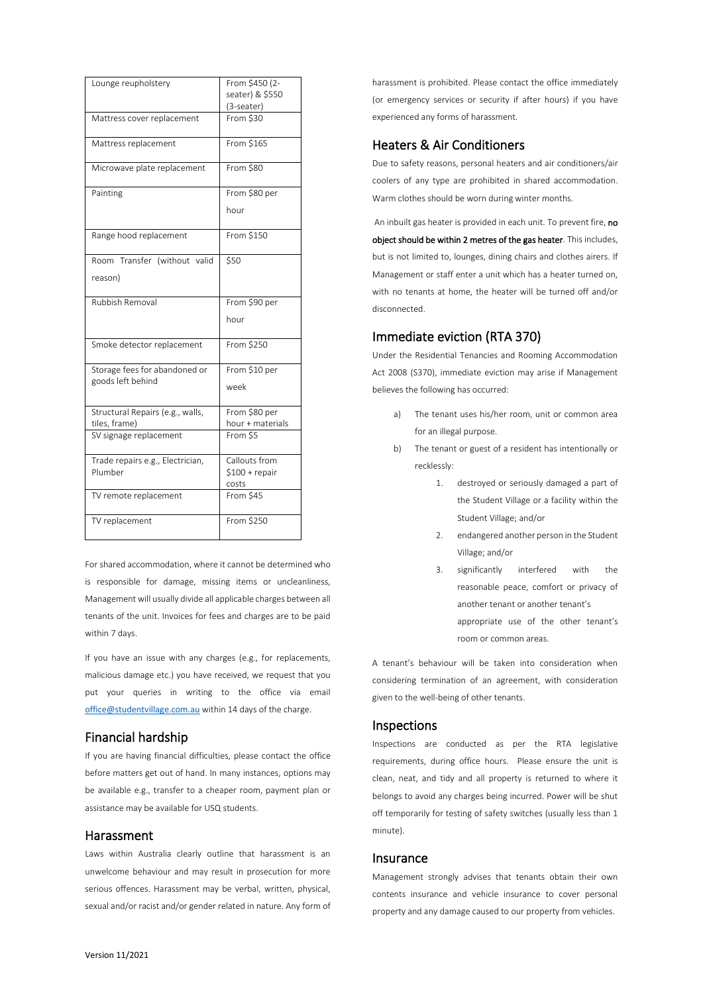| Lounge reupholstery                                | From \$450 (2-   |
|----------------------------------------------------|------------------|
|                                                    | seater) & \$550  |
|                                                    | (3-seater)       |
| Mattress cover replacement                         | From \$30        |
| Mattress replacement                               | From \$165       |
| Microwave plate replacement                        | From \$80        |
| Painting                                           | From \$80 per    |
|                                                    | hour             |
| Range hood replacement                             | From \$150       |
| Room Transfer (without valid                       | \$50             |
| reason)                                            |                  |
| Rubbish Removal                                    | From \$90 per    |
|                                                    | hour             |
| Smoke detector replacement                         | From \$250       |
| Storage fees for abandoned or<br>goods left behind | From \$10 per    |
|                                                    | week             |
| Structural Repairs (e.g., walls,                   | From \$80 per    |
| tiles, frame)                                      | hour + materials |
| SV signage replacement                             | From \$5         |
| Trade repairs e.g., Electrician,                   | Callouts from    |
| Plumber                                            | \$100 + repair   |
|                                                    | costs            |
| TV remote replacement                              | From $$45$       |
| TV replacement                                     | From \$250       |

For shared accommodation, where it cannot be determined who is responsible for damage, missing items or uncleanliness, Management will usually divide all applicable charges between all tenants of the unit. Invoices for fees and charges are to be paid within 7 days.

If you have an issue with any charges (e.g., for replacements, malicious damage etc.) you have received, we request that you put your queries in writing to the office via email office@studentvillage.com.au within 14 days of the charge.

# Financial hardship

If you are having financial difficulties, please contact the office before matters get out of hand. In many instances, options may be available e.g., transfer to a cheaper room, payment plan or assistance may be available for USQ students.

### Harassment

Laws within Australia clearly outline that harassment is an unwelcome behaviour and may result in prosecution for more serious offences. Harassment may be verbal, written, physical, sexual and/or racist and/or gender related in nature. Any form of harassment is prohibited. Please contact the office immediately (or emergency services or security if after hours) if you have experienced any forms of harassment.

# Heaters & Air Conditioners

Due to safety reasons, personal heaters and air conditioners/air coolers of any type are prohibited in shared accommodation. Warm clothes should be worn during winter months.

An inbuilt gas heater is provided in each unit. To prevent fire, no object should be within 2 metres of the gas heater. This includes, but is not limited to, lounges, dining chairs and clothes airers. If Management or staff enter a unit which has a heater turned on, with no tenants at home, the heater will be turned off and/or disconnected.

# Immediate eviction (RTA 370)

Under the Residential Tenancies and Rooming Accommodation Act 2008 (S370), immediate eviction may arise if Management believes the following has occurred:

- a) The tenant uses his/her room, unit or common area for an illegal purpose.
- b) The tenant or guest of a resident has intentionally or recklessly:
	- 1. destroyed or seriously damaged a part of the Student Village or a facility within the Student Village; and/or
	- 2. endangered another person in the Student Village; and/or
	- 3. significantly interfered with the reasonable peace, comfort or privacy of another tenant or another tenant's appropriate use of the other tenant's room or common areas.

A tenant's behaviour will be taken into consideration when considering termination of an agreement, with consideration given to the well-being of other tenants.

## Inspections

Inspections are conducted as per the RTA legislative requirements, during office hours. Please ensure the unit is clean, neat, and tidy and all property is returned to where it belongs to avoid any charges being incurred. Power will be shut off temporarily for testing of safety switches (usually less than 1 minute).

### Insurance

Management strongly advises that tenants obtain their own contents insurance and vehicle insurance to cover personal property and any damage caused to our property from vehicles.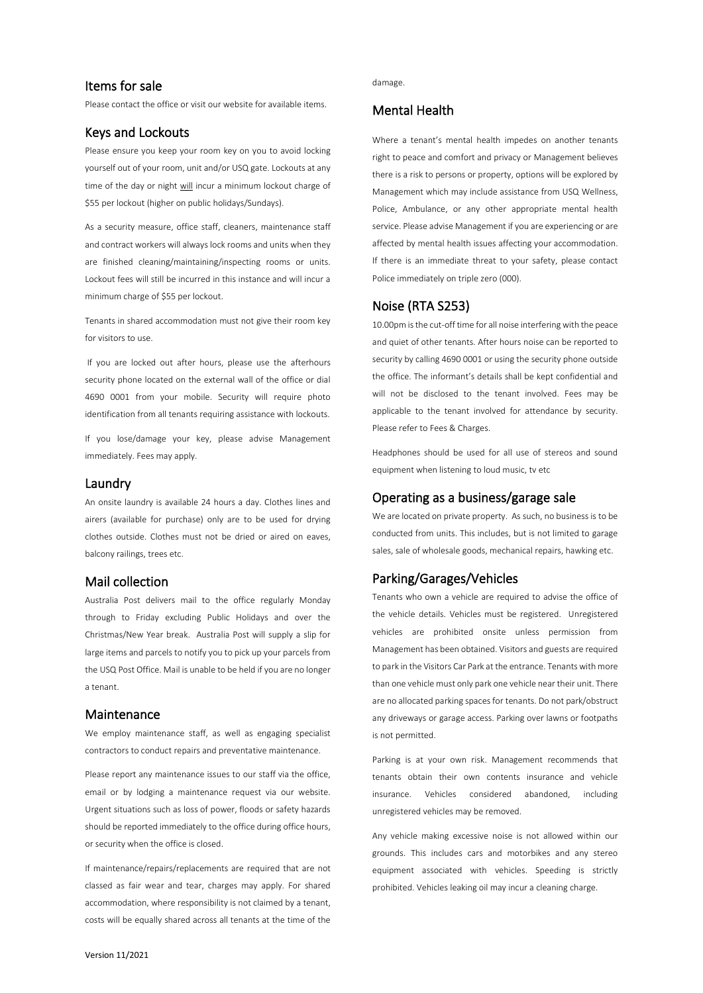# Items for sale

Please contact the office or visit our website for available items.

### Keys and Lockouts

Please ensure you keep your room key on you to avoid locking yourself out of your room, unit and/or USQ gate. Lockouts at any time of the day or night will incur a minimum lockout charge of \$55 per lockout (higher on public holidays/Sundays).

As a security measure, office staff, cleaners, maintenance staff and contract workers will always lock rooms and units when they are finished cleaning/maintaining/inspecting rooms or units. Lockout fees will still be incurred in this instance and will incur a minimum charge of \$55 per lockout.

Tenants in shared accommodation must not give their room key for visitors to use.

If you are locked out after hours, please use the afterhours security phone located on the external wall of the office or dial 4690 0001 from your mobile. Security will require photo identification from all tenants requiring assistance with lockouts.

If you lose/damage your key, please advise Management immediately. Fees may apply.

## Laundry

An onsite laundry is available 24 hours a day. Clothes lines and airers (available for purchase) only are to be used for drying clothes outside. Clothes must not be dried or aired on eaves, balcony railings, trees etc.

# Mail collection

Australia Post delivers mail to the office regularly Monday through to Friday excluding Public Holidays and over the Christmas/New Year break. Australia Post will supply a slip for large items and parcels to notify you to pick up your parcels from the USQ Post Office. Mail is unable to be held if you are no longer a tenant.

### Maintenance

We employ maintenance staff, as well as engaging specialist contractors to conduct repairs and preventative maintenance.

Please report any maintenance issues to our staff via the office, email or by lodging a maintenance request via our website. Urgent situations such as loss of power, floods or safety hazards should be reported immediately to the office during office hours, or security when the office is closed.

If maintenance/repairs/replacements are required that are not classed as fair wear and tear, charges may apply. For shared accommodation, where responsibility is not claimed by a tenant, costs will be equally shared across all tenants at the time of the

### damage.

# Mental Health

Where a tenant's mental health impedes on another tenants right to peace and comfort and privacy or Management believes there is a risk to persons or property, options will be explored by Management which may include assistance from USQ Wellness, Police, Ambulance, or any other appropriate mental health service. Please advise Management if you are experiencing or are affected by mental health issues affecting your accommodation. If there is an immediate threat to your safety, please contact Police immediately on triple zero (000).

# Noise (RTA S253)

10.00pm is the cut-off time for all noise interfering with the peace and quiet of other tenants. After hours noise can be reported to security by calling 4690 0001 or using the security phone outside the office. The informant's details shall be kept confidential and will not be disclosed to the tenant involved. Fees may be applicable to the tenant involved for attendance by security. Please refer to Fees & Charges.

Headphones should be used for all use of stereos and sound equipment when listening to loud music, tv etc

# Operating as a business/garage sale

We are located on private property. As such, no business is to be conducted from units. This includes, but is not limited to garage sales, sale of wholesale goods, mechanical repairs, hawking etc.

### Parking/Garages/Vehicles

Tenants who own a vehicle are required to advise the office of the vehicle details. Vehicles must be registered. Unregistered vehicles are prohibited onsite unless permission from Management has been obtained. Visitors and guests are required to park in the Visitors Car Park at the entrance. Tenants with more than one vehicle must only park one vehicle near their unit. There are no allocated parking spaces for tenants. Do not park/obstruct any driveways or garage access. Parking over lawns or footpaths is not permitted.

Parking is at your own risk. Management recommends that tenants obtain their own contents insurance and vehicle insurance. Vehicles considered abandoned, including unregistered vehicles may be removed.

Any vehicle making excessive noise is not allowed within our grounds. This includes cars and motorbikes and any stereo equipment associated with vehicles. Speeding is strictly prohibited. Vehicles leaking oil may incur a cleaning charge.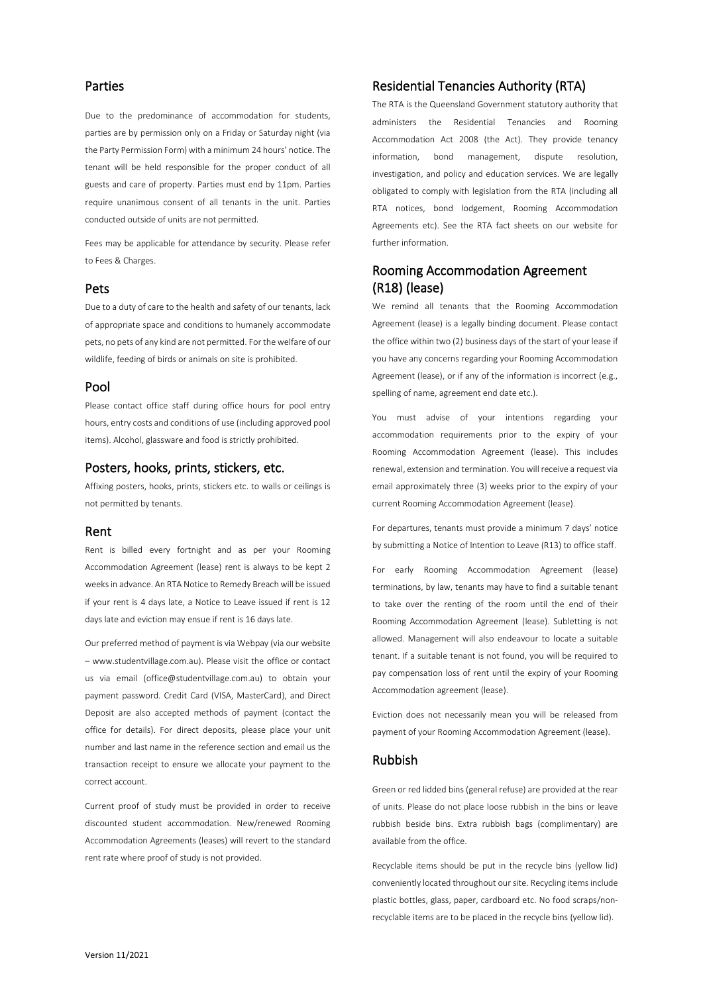# Parties

Due to the predominance of accommodation for students, parties are by permission only on a Friday or Saturday night (via the Party Permission Form) with a minimum 24 hours' notice. The tenant will be held responsible for the proper conduct of all guests and care of property. Parties must end by 11pm. Parties require unanimous consent of all tenants in the unit. Parties conducted outside of units are not permitted.

Fees may be applicable for attendance by security. Please refer to Fees & Charges.

### Pets

Due to a duty of care to the health and safety of our tenants, lack of appropriate space and conditions to humanely accommodate pets, no pets of any kind are not permitted. For the welfare of our wildlife, feeding of birds or animals on site is prohibited.

### Pool

Please contact office staff during office hours for pool entry hours, entry costs and conditions of use (including approved pool items). Alcohol, glassware and food is strictly prohibited.

### Posters, hooks, prints, stickers, etc.

Affixing posters, hooks, prints, stickers etc. to walls or ceilings is not permitted by tenants.

### Rent

Rent is billed every fortnight and as per your Rooming Accommodation Agreement (lease) rent is always to be kept 2 weeks in advance. An RTA Notice to Remedy Breach will be issued if your rent is 4 days late, a Notice to Leave issued if rent is 12 days late and eviction may ensue if rent is 16 days late.

Our preferred method of payment is via Webpay (via our website – www.studentvillage.com.au). Please visit the office or contact us via email (office@studentvillage.com.au) to obtain your payment password. Credit Card (VISA, MasterCard), and Direct Deposit are also accepted methods of payment (contact the office for details). For direct deposits, please place your unit number and last name in the reference section and email us the transaction receipt to ensure we allocate your payment to the correct account.

Current proof of study must be provided in order to receive discounted student accommodation. New/renewed Rooming Accommodation Agreements (leases) will revert to the standard rent rate where proof of study is not provided.

# Residential Tenancies Authority (RTA)

The RTA is the Queensland Government statutory authority that administers the Residential Tenancies and Rooming Accommodation Act 2008 (the Act). They provide tenancy information, bond management, dispute resolution, investigation, and policy and education services. We are legally obligated to comply with legislation from the RTA (including all RTA notices, bond lodgement, Rooming Accommodation Agreements etc). See the RTA fact sheets on our website for further information.

# Rooming Accommodation Agreement (R18) (lease)

We remind all tenants that the Rooming Accommodation Agreement (lease) is a legally binding document. Please contact the office within two (2) business days of the start of your lease if you have any concerns regarding your Rooming Accommodation Agreement (lease), or if any of the information is incorrect (e.g., spelling of name, agreement end date etc.).

You must advise of your intentions regarding your accommodation requirements prior to the expiry of your Rooming Accommodation Agreement (lease). This includes renewal, extension and termination. You will receive a request via email approximately three (3) weeks prior to the expiry of your current Rooming Accommodation Agreement (lease).

For departures, tenants must provide a minimum 7 days' notice by submitting a Notice of Intention to Leave (R13) to office staff.

For early Rooming Accommodation Agreement (lease) terminations, by law, tenants may have to find a suitable tenant to take over the renting of the room until the end of their Rooming Accommodation Agreement (lease). Subletting is not allowed. Management will also endeavour to locate a suitable tenant. If a suitable tenant is not found, you will be required to pay compensation loss of rent until the expiry of your Rooming Accommodation agreement (lease).

Eviction does not necessarily mean you will be released from payment of your Rooming Accommodation Agreement (lease).

### Rubbish

Green or red lidded bins (general refuse) are provided at the rear of units. Please do not place loose rubbish in the bins or leave rubbish beside bins. Extra rubbish bags (complimentary) are available from the office.

Recyclable items should be put in the recycle bins (yellow lid) conveniently located throughout our site. Recycling items include plastic bottles, glass, paper, cardboard etc. No food scraps/nonrecyclable items are to be placed in the recycle bins (yellow lid).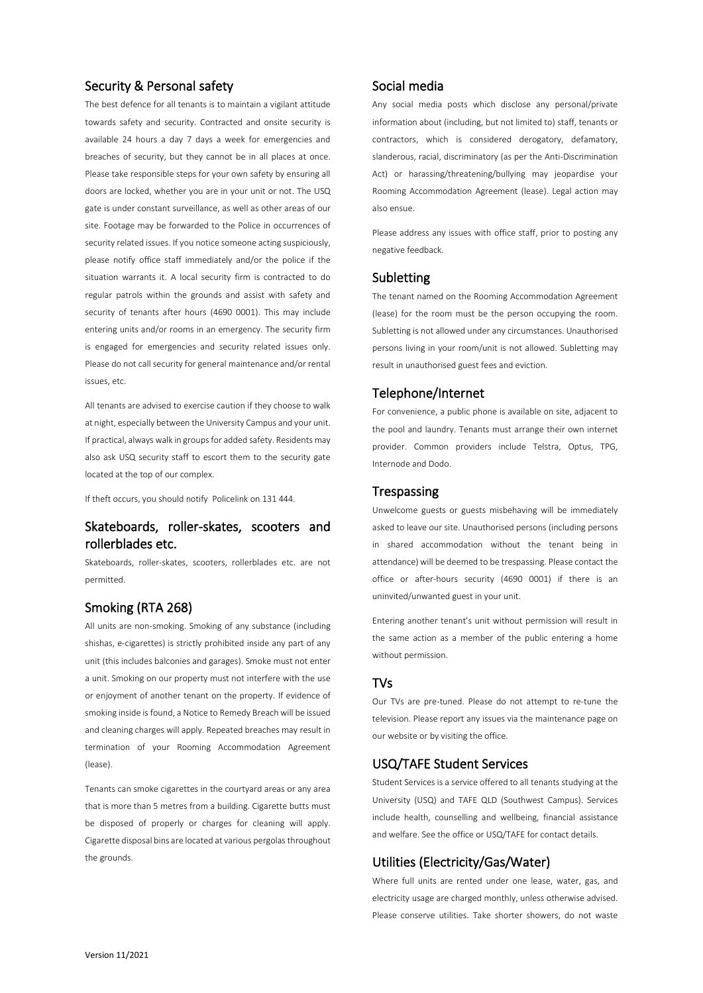# Security & Personal safety

The best defence for all tenants is to maintain a vigilant attitude towards safety and security. Contracted and onsite security is available 24 hours a day 7 days a week for emergencies and breaches of security, but they cannot be in all places at once. Please take responsible steps for your own safety by ensuring all doors are locked, whether you are in your unit or not. The USQ gate is under constant surveillance, as well as other areas of our site. Footage may be forwarded to the Police in occurrences of security related issues. If you notice someone acting suspiciously, please notify office staff immediately and/or the police if the situation warrants it. A local security firm is contracted to do regular patrols within the grounds and assist with safety and security of tenants after hours (4690 0001). This may include entering units and/or rooms in an emergency. The security firm is engaged for emergencies and security related issues only. Please do not call security for general maintenance and/or rental issues, etc.

All tenants are advised to exercise caution if they choose to walk at night, especially between the University Campus and your unit. If practical, always walk in groups for added safety. Residents may also ask USQ security staff to escort them to the security gate located at the top of our complex.

If theft occurs, you should notify Policelink on 131 444.

# Skateboards, roller-skates, scooters and rollerblades etc.

Skateboards, roller-skates, scooters, rollerblades etc. are not permitted.

# Smoking (RTA 268)

All units are non-smoking. Smoking of any substance (including shishas, e-cigarettes) is strictly prohibited inside any part of any unit (this includes balconies and garages). Smoke must not enter a unit. Smoking on our property must not interfere with the use or enjoyment of another tenant on the property. If evidence of smoking inside is found, a Notice to Remedy Breach will be issued and cleaning charges will apply. Repeated breaches may result in termination of your Rooming Accommodation Agreement (lease).

Tenants can smoke cigarettes in the courtyard areas or any area that is more than 5 metres from a building. Cigarette butts must be disposed of properly or charges for cleaning will apply. Cigarette disposal bins are located at various pergolasthroughout the grounds.

# Social media

Any social media posts which disclose any personal/private information about (including, but not limited to) staff, tenants or contractors, which is considered derogatory, defamatory, slanderous, racial, discriminatory (as per the Anti-Discrimination Act) or harassing/threatening/bullying may jeopardise your Rooming Accommodation Agreement (lease). Legal action may also ensue.

Please address any issues with office staff, prior to posting any negative feedback.

# Subletting

The tenant named on the Rooming Accommodation Agreement (lease) for the room must be the person occupying the room. Subletting is not allowed under any circumstances. Unauthorised persons living in your room/unit is not allowed. Subletting may result in unauthorised guest fees and eviction.

## Telephone/Internet

For convenience, a public phone is available on site, adjacent to the pool and laundry. Tenants must arrange their own internet provider. Common providers include Telstra, Optus, TPG, Internode and Dodo.

### **Trespassing**

Unwelcome guests or guests misbehaving will be immediately asked to leave our site. Unauthorised persons (including persons in shared accommodation without the tenant being in attendance) will be deemed to be trespassing. Please contact the office or after-hours security (4690 0001) if there is an uninvited/unwanted guest in your unit.

Entering another tenant's unit without permission will result in the same action as a member of the public entering a home without permission.

### TVs

Our TVs are pre-tuned. Please do not attempt to re-tune the television. Please report any issues via the maintenance page on our website or by visiting the office.

### USQ/TAFE Student Services

Student Services is a service offered to all tenants studying at the University (USQ) and TAFE QLD (Southwest Campus). Services include health, counselling and wellbeing, financial assistance and welfare. See the office or USQ/TAFE for contact details.

# Utilities (Electricity/Gas/Water)

Where full units are rented under one lease, water, gas, and electricity usage are charged monthly, unless otherwise advised. Please conserve utilities. Take shorter showers, do not waste